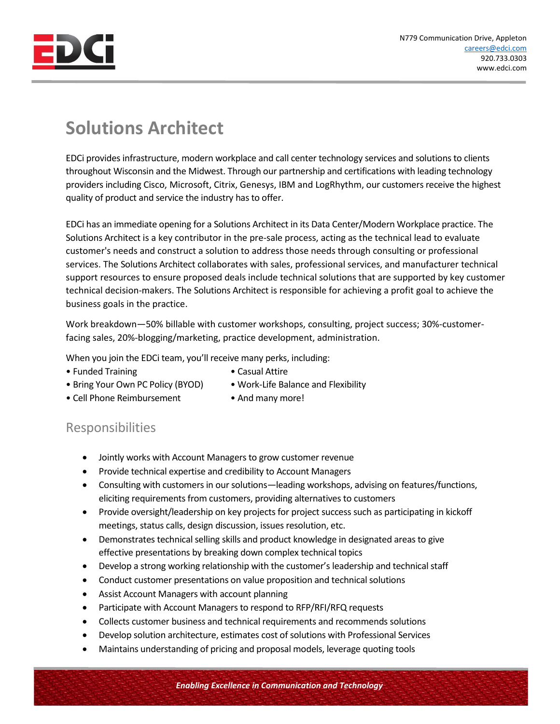

## **Solutions Architect**

EDCi provides infrastructure, modern workplace and call center technology services and solutions to clients throughout Wisconsin and the Midwest. Through our partnership and certifications with leading technology providers including Cisco, Microsoft, Citrix, Genesys, IBM and LogRhythm, our customers receive the highest quality of product and service the industry has to offer.

EDCi has an immediate opening for a Solutions Architect in its Data Center/Modern Workplace practice. The Solutions Architect is a key contributor in the pre-sale process, acting as the technical lead to evaluate customer's needs and construct a solution to address those needs through consulting or professional services. The Solutions Architect collaborates with sales, professional services, and manufacturer technical support resources to ensure proposed deals include technical solutions that are supported by key customer technical decision-makers. The Solutions Architect is responsible for achieving a profit goal to achieve the business goals in the practice.

Work breakdown—50% billable with customer workshops, consulting, project success; 30%-customerfacing sales, 20%-blogging/marketing, practice development, administration.

When you join the EDCi team, you'll receive many perks, including:

- Funded Training  **Casual Attire**
- 
- Bring Your Own PC Policy (BYOD) Work-Life Balance and Flexibility
- 
- Cell Phone Reimbursement And many more!
- 

## Responsibilities

- Jointly works with Account Managers to grow customer revenue
- Provide technical expertise and credibility to Account Managers
- Consulting with customers in our solutions—leading workshops, advising on features/functions, eliciting requirements from customers, providing alternatives to customers
- Provide oversight/leadership on key projects for project success such as participating in kickoff meetings, status calls, design discussion, issues resolution, etc.
- Demonstrates technical selling skills and product knowledge in designated areas to give effective presentations by breaking down complex technical topics
- Develop a strong working relationship with the customer's leadership and technical staff
- Conduct customer presentations on value proposition and technical solutions
- Assist Account Managers with account planning
- Participate with Account Managers to respond to RFP/RFI/RFQ requests
- Collects customer business and technical requirements and recommends solutions
- Develop solution architecture, estimates cost of solutions with Professional Services
- Maintains understanding of pricing and proposal models, leverage quoting tools